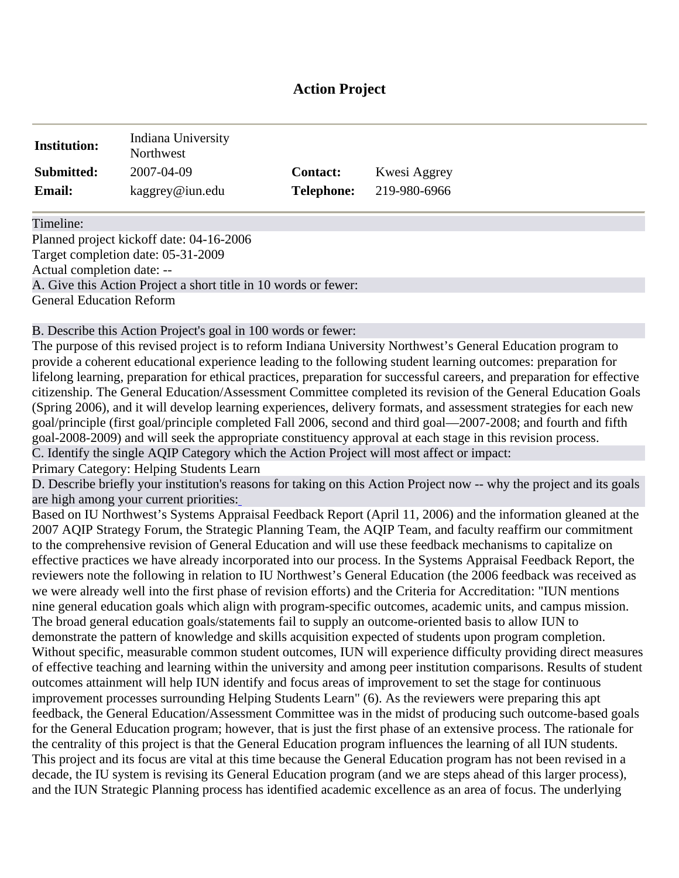# **Action Project**

| <b>Institution:</b> | Indiana University<br>Northwest |                   |              |
|---------------------|---------------------------------|-------------------|--------------|
| Submitted:          | 2007-04-09                      | <b>Contact:</b>   | Kwesi Aggrey |
| <b>Email:</b>       | kaggrey@iun.edu                 | <b>Telephone:</b> | 219-980-6966 |

Timeline:

Planned project kickoff date: 04-16-2006 Target completion date: 05-31-2009 Actual completion date: -- A. Give this Action Project a short title in 10 words or fewer: General Education Reform

B. Describe this Action Project's goal in 100 words or fewer:

The purpose of this revised project is to reform Indiana University Northwest's General Education program to provide a coherent educational experi[ence lead](http://www.aqip.org/actionproject/Help.php?helptext=1)ing to the following student learning outcomes: preparation for lifelong learning, preparation for ethical practices, preparation for successful careers, and preparation for effective citizenship. The General Education/Assessment Committee completed its revision of the General Education Goals (Spring 2006), and it will develop learning experiences, delivery formats, and assessment strategies for each new goal/principle (first goal/principle completed Fall 2006, second and third goal—2007-2008; and fourth and fifth goal-2008-2009) and will seek the appropriate constituency approval at each stage in this revision process. C. Identify the single AQIP Category which the Action Project will most affect or impact:

Primary Category: Helping Students Learn

D. Describe briefly your institution's r[ea](http://www.aqip.org/actionproject/Help.php?helptext=1)sons for taking on this Action Project now -- why the project and its goals are high among your current priorities:

Based on IU Northwest's Systems Appraisal Feedback Report (April 11, 2006) and the information gleaned at the 2007 AQIP Strategy Forum, the Strategic Planning Team, the AQIP Team, and faculty reaffirm our commitment to the comprehensive revision of General Education and will use these feedback mechanisms to capitalize on effective practices we have already incorporated into our process. In the Systems Appraisal Feedback Report, the reviewers note the following in relation to IU Northwest's General Education (the 2006 feedback was received as we were already well into the first phase of revision efforts) and the Criteria for Accreditation: "IUN mentions nine general education goals which align with program-specific outcomes, academic units, and campus mission. The broad general education goals/statements fail to supply an outcome-oriented basis to allow IUN to demonstrate the pattern of knowledge and skills acquisition expected of students upon program completion. Without specific, measurable common student outcomes, IUN will experience difficulty providing direct measures of effective teaching and learning within the university and among peer institution comparisons. Results of student outcomes attainment will help IUN identify and focus areas of improvement to set the stage for continuous improvement processes surrounding Helping Students Learn" (6). As the reviewers were preparing this apt feedback, the General Education/Assessment Committee was in the midst of producing such outcome-based goals for the General Education program; however, that is just the first phase of an extensive process. The rationale for the centrality of this project is that the General Education program influences the learning of all IUN students. This project and its focus are vital at this time because the General Education program has not been revised in a decade, the IU system is revising its General Education program (and we are steps ahead of this larger process), and the IUN Strategic Planning process has identified academic excellence as an area of focus. The underlying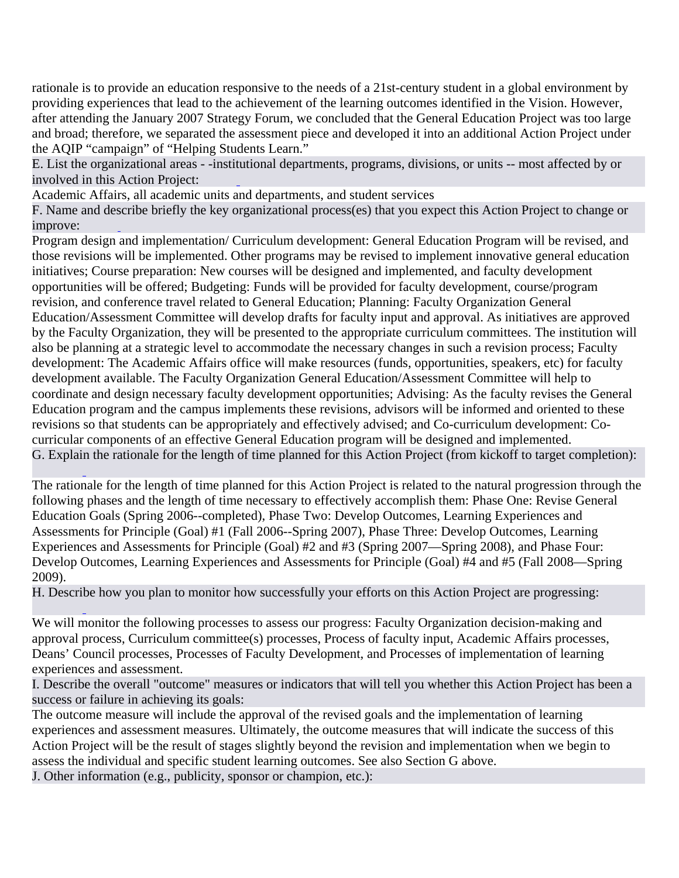rationale is to provide an education responsive to the needs of a 21st-century student in a global environment by providing experiences that lea[d to the a](http://www.aqip.org/actionproject/Help.php?helptext=2)chievement of the learning outcomes identified in the Vision. However, after attending the January 2007 Strategy Forum, we concluded that the General Education Project was too large and broad; therefore, we separated the assessment piece and developed it into an additional Action Project under the AQI[P "campa](http://www.aqip.org/actionproject/Help.php?helptext=3)ign" of "Helping Students Learn."

E. List the organizational areas - -insti[tu](http://www.aqip.org/actionproject/Help.php?helptext=2)tional departments, programs, divisions, or units -- most affected by or involved in this Action Project:

Academic Affairs, all academic units and departments, and student services

F. Name and de[s](http://www.aqip.org/actionproject/Help.php?helptext=3)cribe briefly the key organizational process(es) that you expect this Action Project to change or improve:

Program design and implementation/ Curriculum development: General Education Program will be revised, and those revisions will be implemented. Other programs may be revised to implement innovative general education initiatives; Course preparation: New courses will be designed and implemented, and faculty development opportunities will be offered; Budgeting: Funds will be provided for faculty development, course/program revision, and conference travel related to General Education; Planning: Faculty Organization General Education/Assessment Committee will develop drafts for faculty input and approval. As initiatives are approved by the Faculty Organization, they will be presented to the appropriate curriculum committees. The institution will also be planning at a strategic level to accommodate the necessary changes in such a revision process; Faculty development: The Academic Affairs office will make resources (funds, opportunities, speakers, etc) for faculty development available. The Faculty Organization General Education/Assessment Committee will help to c[oordinate](http://www.aqip.org/actionproject/Help.php?helptext=4) and design necessary faculty development opportunities; Advising: As the faculty revises the General Education program and the campus implements these revisions, advisors will be informed and oriented to these revisions so that students can be appropriately and effectively advised; and Co-curriculum development: Cocurricular components of an effective General Education program will be designed and implemented. G. Explai[n](http://www.aqip.org/actionproject/Help.php?helptext=4) the rationale for the length of time planned for this Action Project (from kickoff to target completion):

The rationale for the length of time planned for this Action Project is related to the natural progression through the following phases and the length of time necessary to effectively accomplish them: Phase One: Revise General Education Goals (Spring 2006--completed), Phase Two: Develop Outcomes, Learning Experiences and A[ssessmen](http://www.aqip.org/actionproject/Help.php?helptext=5)ts for Principle (Goal) #1 (Fall 2006--Spring 2007), Phase Three: Develop Outcomes, Learning Experiences and Assessments for Principle (Goal) #2 and #3 (Spring 2007—Spring 2008), and Phase Four: Develop Outcomes, Learning Experiences and Assessments for Principle (Goal) #4 and #5 (Fall 2008—Spring 2009).

H. Descri[b](http://www.aqip.org/actionproject/Help.php?helptext=5)e how you plan to monitor how successfully your efforts on this Action Project are progressing:

We will monitor the following processes [to assess](http://www.aqip.org/actionproject/Help.php?helptext=7) our progress: Faculty Organization decision-making and approval process, Curriculum committee(s) processes, Process of faculty input, Academic Affairs processes, Deans' Council processes, Processes of Faculty Development, and Processes of implementation of learning experiences and assessment.

I. Describe the overall "outcome" measures or indicators that will [tell you](http://www.aqip.org/actionproject/Help.php?helptext=7) whether this Action Project has been a success or failure in achieving its goals:

The outcome measure will include the approval of the revised goals and the implementation of learning experiences and assessment measures. Ultimately, the outcome measures that will indicate the success of this Action Project will be the result of stages slightly beyond the revision and implementation when we begin to assess the individual and specific student learning outcomes. See also Section G above.

J. Other information (e.g., publicity, sponsor or champion, etc.):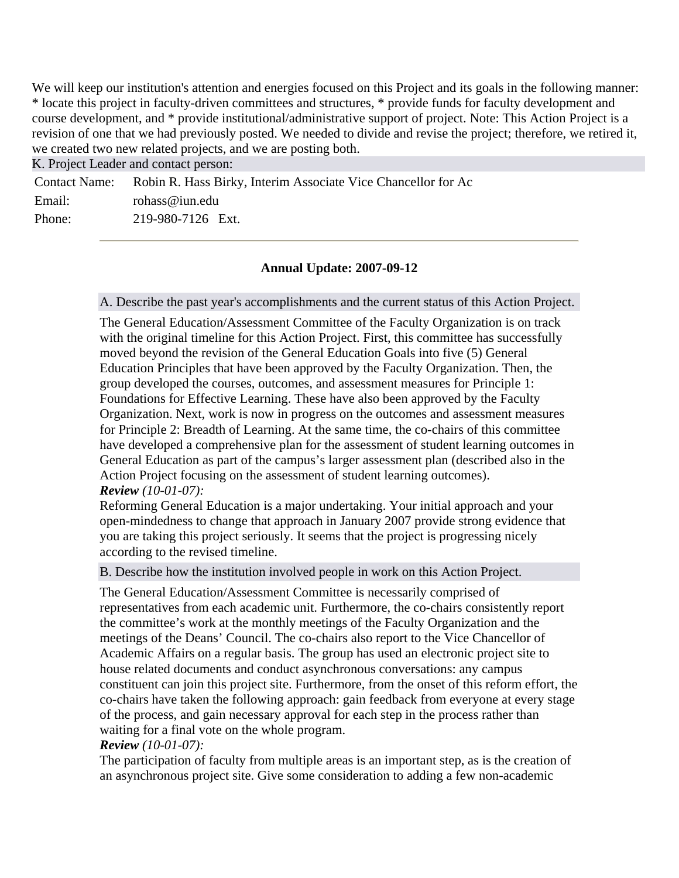We will keep our institution's attention [and ener](http://www.aqip.org/actionproject/Help.php?helptext=8)gies focused on this Project and its goals in the following manner: \* locate this project in faculty-driven committees and structures, \* provide funds for faculty development and course development, and \* provide institutional/administrative support of project. Note: This Action Project is a revision of one that we had previously posted. We needed to divide and revise the project; therefore, we retired it, we created two new related projects, and we are posting both.

K. Project Leader and contact person:

|        | Contact Name: Robin R. Hass Birky, Interim Associate Vice Chancellor for Ac |
|--------|-----------------------------------------------------------------------------|
| Email: | rohass@iun.edu                                                              |
| Phone: | 219-980-7126 Ext.                                                           |

# **Annual Update: 2007-09-12**

A. Describe the past year's accomplishments and the current status of this Action Project.

The General Education/Assessment Committee of the Faculty Organization is on track with the original timeline for this Action Project. First, this committee has successfully moved beyond the revision of the General Education Goals into five (5) General Education Principles that have been approved by the Faculty Organization. Then, the group developed the courses, outcomes, and assessment measures for Principle 1: Foundations for Effective Learning. These have also been approved by the Faculty Organization. Next, work is now in progress on the outcomes and assessment measures for Principle 2: Breadth of Learning. At the same time, the co-chairs of this committee have developed a comprehensive plan for the assessment of student learning outcomes in General Education as part of the campus's larger assessment plan (described also in the Action Project focusing on the assessment of student learning outcomes). *Review (10-01-07):*

Reforming General Education is a major undertaking. Your initial approach and your open-mindedness to change that approach in January 2007 provide strong evidence that you are taking this project seriously. It seems that the project is progressing nicely according to the revised timeline.

B. Describe how the institution involved people in work on this Action Project.

The General Education/Assessment Committee is necessarily comprised of representatives from each academic unit. Furthermore, the co-chairs consistently report the committee's work at the monthly meetings of the Faculty Organization and the meetings of the Deans' Council. The co-chairs also report to the Vice Chancellor of Academic Affairs on a regular basis. The group has used an electronic project site to house related documents and conduct asynchronous conversations: any campus constituent can join this project site. Furthermore, from the onset of this reform effort, the co-chairs have taken the following approach: gain feedback from everyone at every stage of the process, and gain necessary approval for each step in the process rather than waiting for a final vote on the whole program.

## *Review (10-01-07):*

The participation of faculty from multiple areas is an important step, as is the creation of an asynchronous project site. Give some consideration to adding a few non-academic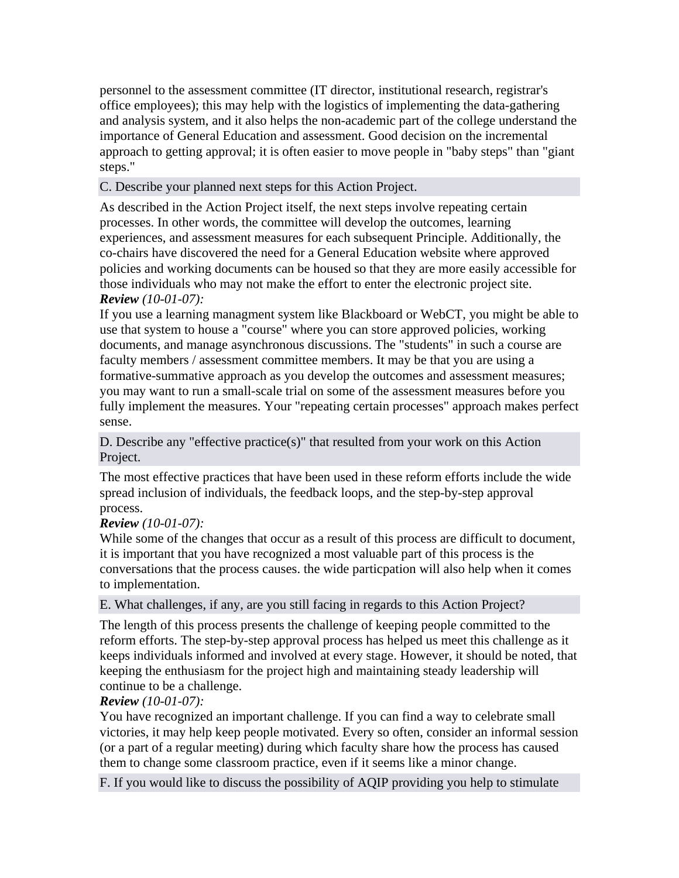personnel to the assessment committee (IT director, institutional research, registrar's office employees); this may help with the logistics of implementing the data-gathering and analysis system, and it also helps the non-academic part of the college understand the importance of General Education and assessment. Good decision on the incremental approach to getting approval; it is often easier to move people in "baby steps" than "giant steps."

# C. Describe your planned next steps for this Action Project.

As described in the Action Project itself, the next steps involve repeating certain processes. In other words, the committee will develop the outcomes, learning experiences, and assessment measures for each subsequent Principle. Additionally, the co-chairs have discovered the need for a General Education website where approved policies and working documents can be housed so that they are more easily accessible for those individuals who may not make the effort to enter the electronic project site. *Review (10-01-07):*

If you use a learning managment system like Blackboard or WebCT, you might be able to use that system to house a "course" where you can store approved policies, working documents, and manage asynchronous discussions. The "students" in such a course are faculty members / assessment committee members. It may be that you are using a formative-summative approach as you develop the outcomes and assessment measures; you may want to run a small-scale trial on some of the assessment measures before you fully implement the measures. Your "repeating certain processes" approach makes perfect sense.

D. Describe any "effective practice(s)" that resulted from your work on this Action Project.

The most effective practices that have been used in these reform efforts include the wide spread inclusion of individuals, the feedback loops, and the step-by-step approval process.

## *Review (10-01-07):*

While some of the changes that occur as a result of this process are difficult to document, it is important that you have recognized a most valuable part of this process is the conversations that the process causes. the wide particpation will also help when it comes to implementation.

E. What challenges, if any, are you still facing in regards to this Action Project?

The length of this process presents the challenge of keeping people committed to the reform efforts. The step-by-step approval process has helped us meet this challenge as it keeps individuals informed and involved at every stage. However, it should be noted, that keeping the enthusiasm for the project high and maintaining steady leadership will continue to be a challenge.

## *Review (10-01-07):*

You have recognized an important challenge. If you can find a way to celebrate small victories, it may help keep people motivated. Every so often, consider an informal session (or a part of a regular meeting) during which faculty share how the process has caused them to change some classroom practice, even if it seems like a minor change.

F. If you would like to discuss the possibility of AQIP providing you help to stimulate